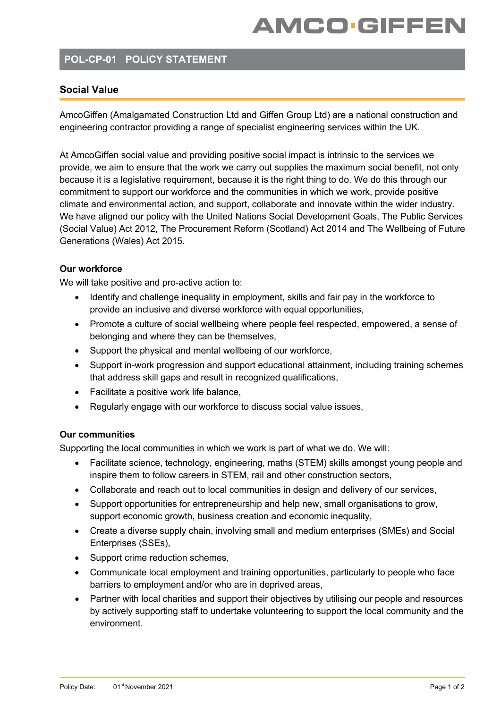# **AMCO-GIFFEN**

### **POL-CP-01 POLICY STATEMENT**

### **Social Value**

AmcoGiffen (Amalgamated Construction Ltd and Giffen Group Ltd) are a national construction and engineering contractor providing a range of specialist engineering services within the UK.

At AmcoGiffen social value and providing positive social impact is intrinsic to the services we provide, we aim to ensure that the work we carry out supplies the maximum social benefit, not only because it is a legislative requirement, because it is the right thing to do. We do this through our commitment to support our workforce and the communities in which we work, provide positive climate and environmental action, and support, collaborate and innovate within the wider industry. We have aligned our policy with the United Nations Social Development Goals, The Public Services (Social Value) Act 2012, The Procurement Reform (Scotland) Act 2014 and The Wellbeing of Future Generations (Wales) Act 2015.

#### **Our workforce**

We will take positive and pro-active action to:

- Identify and challenge inequality in employment, skills and fair pay in the workforce to provide an inclusive and diverse workforce with equal opportunities,
- Promote a culture of social wellbeing where people feel respected, empowered, a sense of belonging and where they can be themselves,
- Support the physical and mental wellbeing of our workforce,
- Support in-work progression and support educational attainment, including training schemes that address skill gaps and result in recognized qualifications,
- Facilitate a positive work life balance,
- Regularly engage with our workforce to discuss social value issues,

#### **Our communities**

Supporting the local communities in which we work is part of what we do. We will:

- Facilitate science, technology, engineering, maths (STEM) skills amongst young people and inspire them to follow careers in STEM, rail and other construction sectors,
- Collaborate and reach out to local communities in design and delivery of our services,
- Support opportunities for entrepreneurship and help new, small organisations to grow, support economic growth, business creation and economic inequality,
- Create a diverse supply chain, involving small and medium enterprises (SMEs) and Social Enterprises (SSEs),
- Support crime reduction schemes,
- Communicate local employment and training opportunities, particularly to people who face barriers to employment and/or who are in deprived areas,
- Partner with local charities and support their objectives by utilising our people and resources by actively supporting staff to undertake volunteering to support the local community and the environment.